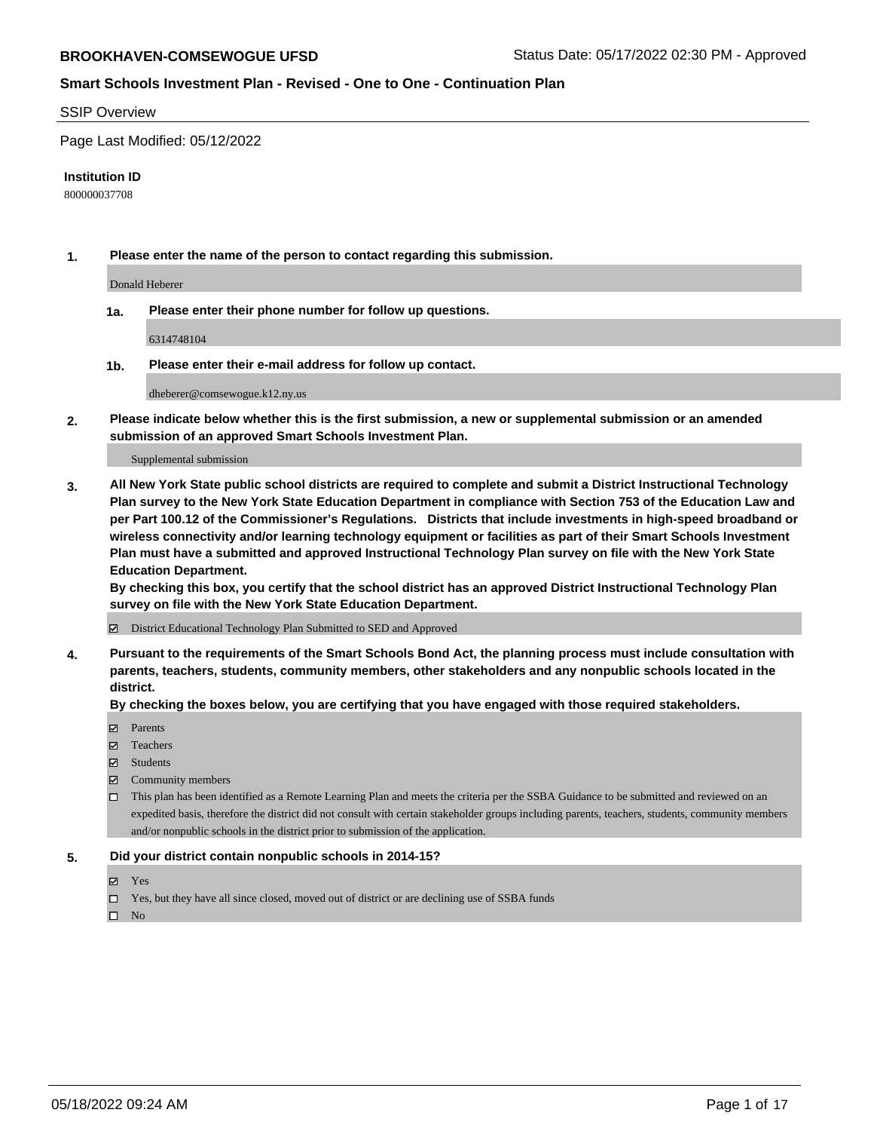#### SSIP Overview

Page Last Modified: 05/12/2022

#### **Institution ID**

800000037708

**1. Please enter the name of the person to contact regarding this submission.**

Donald Heberer

**1a. Please enter their phone number for follow up questions.**

6314748104

**1b. Please enter their e-mail address for follow up contact.**

dheberer@comsewogue.k12.ny.us

**2. Please indicate below whether this is the first submission, a new or supplemental submission or an amended submission of an approved Smart Schools Investment Plan.**

Supplemental submission

**3. All New York State public school districts are required to complete and submit a District Instructional Technology Plan survey to the New York State Education Department in compliance with Section 753 of the Education Law and per Part 100.12 of the Commissioner's Regulations. Districts that include investments in high-speed broadband or wireless connectivity and/or learning technology equipment or facilities as part of their Smart Schools Investment Plan must have a submitted and approved Instructional Technology Plan survey on file with the New York State Education Department.** 

**By checking this box, you certify that the school district has an approved District Instructional Technology Plan survey on file with the New York State Education Department.**

District Educational Technology Plan Submitted to SED and Approved

**4. Pursuant to the requirements of the Smart Schools Bond Act, the planning process must include consultation with parents, teachers, students, community members, other stakeholders and any nonpublic schools located in the district.** 

**By checking the boxes below, you are certifying that you have engaged with those required stakeholders.**

- $\blacksquare$  Parents
- Teachers
- Students
- $\Xi$  Community members
- This plan has been identified as a Remote Learning Plan and meets the criteria per the SSBA Guidance to be submitted and reviewed on an expedited basis, therefore the district did not consult with certain stakeholder groups including parents, teachers, students, community members and/or nonpublic schools in the district prior to submission of the application.

#### **5. Did your district contain nonpublic schools in 2014-15?**

- Yes
- $\Box$  Yes, but they have all since closed, moved out of district or are declining use of SSBA funds

 $\square$  No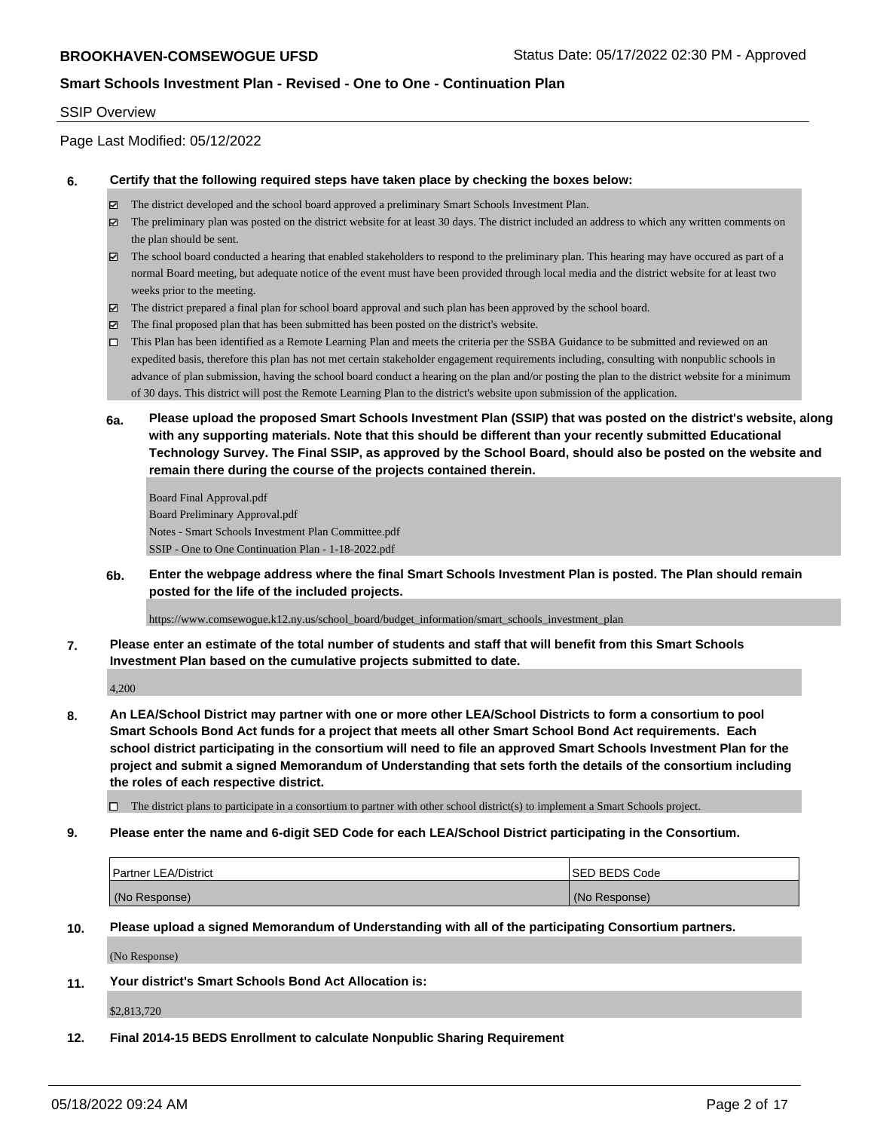#### SSIP Overview

Page Last Modified: 05/12/2022

#### **6. Certify that the following required steps have taken place by checking the boxes below:**

- The district developed and the school board approved a preliminary Smart Schools Investment Plan.
- $\boxtimes$  The preliminary plan was posted on the district website for at least 30 days. The district included an address to which any written comments on the plan should be sent.
- $\boxtimes$  The school board conducted a hearing that enabled stakeholders to respond to the preliminary plan. This hearing may have occured as part of a normal Board meeting, but adequate notice of the event must have been provided through local media and the district website for at least two weeks prior to the meeting.
- The district prepared a final plan for school board approval and such plan has been approved by the school board.
- $\boxtimes$  The final proposed plan that has been submitted has been posted on the district's website.
- This Plan has been identified as a Remote Learning Plan and meets the criteria per the SSBA Guidance to be submitted and reviewed on an expedited basis, therefore this plan has not met certain stakeholder engagement requirements including, consulting with nonpublic schools in advance of plan submission, having the school board conduct a hearing on the plan and/or posting the plan to the district website for a minimum of 30 days. This district will post the Remote Learning Plan to the district's website upon submission of the application.
- **6a. Please upload the proposed Smart Schools Investment Plan (SSIP) that was posted on the district's website, along with any supporting materials. Note that this should be different than your recently submitted Educational Technology Survey. The Final SSIP, as approved by the School Board, should also be posted on the website and remain there during the course of the projects contained therein.**

Board Final Approval.pdf Board Preliminary Approval.pdf Notes - Smart Schools Investment Plan Committee.pdf SSIP - One to One Continuation Plan - 1-18-2022.pdf

**6b. Enter the webpage address where the final Smart Schools Investment Plan is posted. The Plan should remain posted for the life of the included projects.**

https://www.comsewogue.k12.ny.us/school\_board/budget\_information/smart\_schools\_investment\_plan

**7. Please enter an estimate of the total number of students and staff that will benefit from this Smart Schools Investment Plan based on the cumulative projects submitted to date.**

4,200

**8. An LEA/School District may partner with one or more other LEA/School Districts to form a consortium to pool Smart Schools Bond Act funds for a project that meets all other Smart School Bond Act requirements. Each school district participating in the consortium will need to file an approved Smart Schools Investment Plan for the project and submit a signed Memorandum of Understanding that sets forth the details of the consortium including the roles of each respective district.**

 $\Box$  The district plans to participate in a consortium to partner with other school district(s) to implement a Smart Schools project.

**9. Please enter the name and 6-digit SED Code for each LEA/School District participating in the Consortium.**

| <b>Partner LEA/District</b> | <b>ISED BEDS Code</b> |
|-----------------------------|-----------------------|
| (No Response)               | (No Response)         |

**10. Please upload a signed Memorandum of Understanding with all of the participating Consortium partners.**

(No Response)

**11. Your district's Smart Schools Bond Act Allocation is:**

\$2,813,720

**12. Final 2014-15 BEDS Enrollment to calculate Nonpublic Sharing Requirement**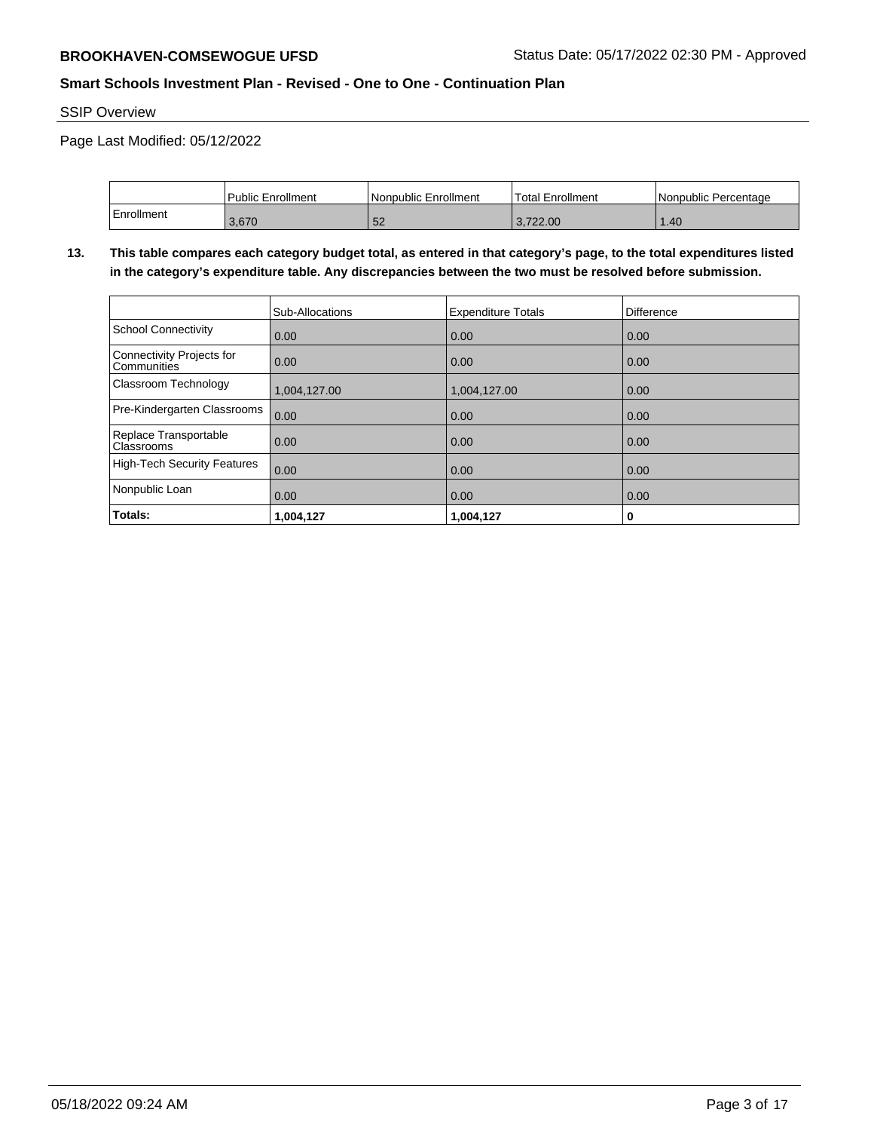SSIP Overview

Page Last Modified: 05/12/2022

|            | Public Enrollment | Nonpublic Enrollment | <b>Total Enrollment</b> | l Nonpublic Percentage |
|------------|-------------------|----------------------|-------------------------|------------------------|
| Enrollment | 3.670             | 52                   | 3.722.00                | .40 <sub>1</sub>       |

**13. This table compares each category budget total, as entered in that category's page, to the total expenditures listed in the category's expenditure table. Any discrepancies between the two must be resolved before submission.**

|                                            | Sub-Allocations   | <b>Expenditure Totals</b> | Difference |
|--------------------------------------------|-------------------|---------------------------|------------|
| School Connectivity                        | 0.00              | 0.00                      | 0.00       |
| Connectivity Projects for<br>l Communities | $\overline{0.00}$ | 0.00                      | 0.00       |
| Classroom Technology                       | 1,004,127.00      | 1,004,127.00              | 0.00       |
| Pre-Kindergarten Classrooms                | 0.00              | 0.00                      | 0.00       |
| Replace Transportable<br><b>Classrooms</b> | $\overline{0.00}$ | 0.00                      | 0.00       |
| High-Tech Security Features                | 0.00              | 0.00                      | 0.00       |
| Nonpublic Loan                             | $\overline{0.00}$ | 0.00                      | 0.00       |
| Totals:                                    | 1,004,127         | 1,004,127                 | 0          |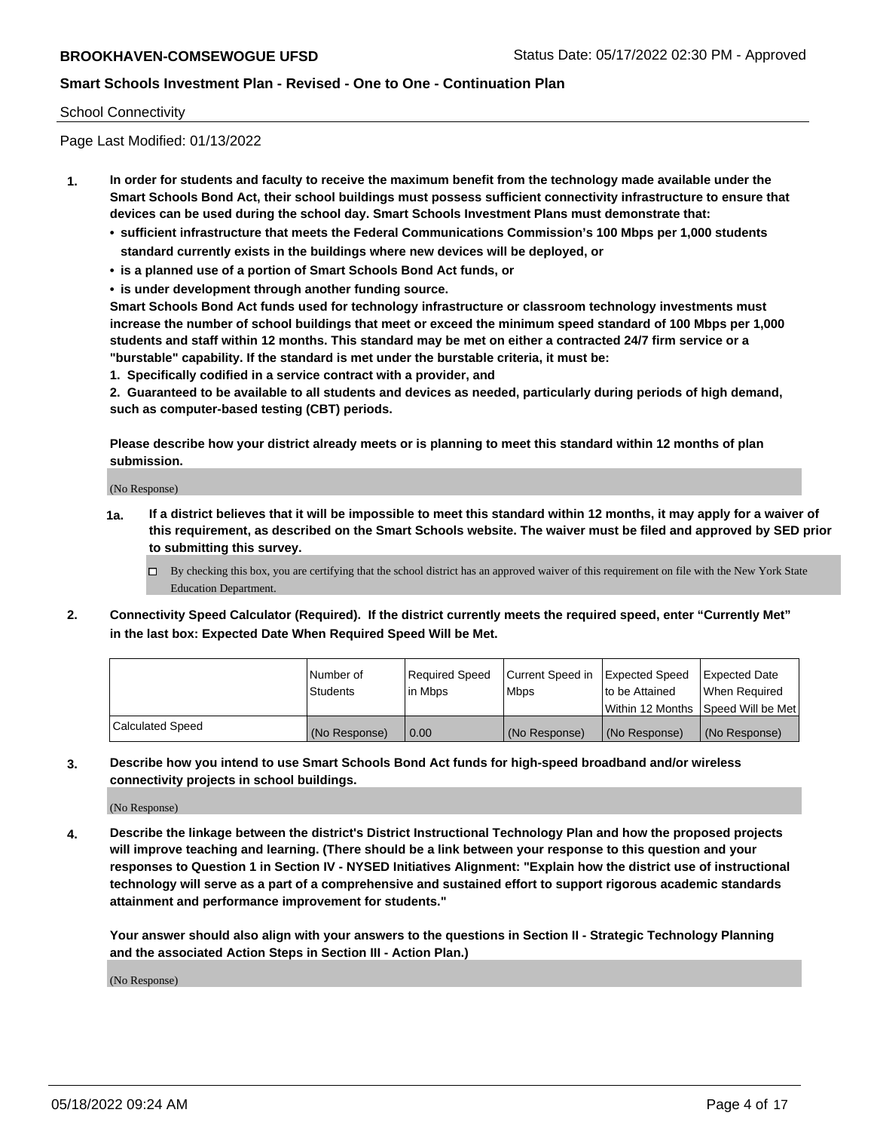#### School Connectivity

Page Last Modified: 01/13/2022

- **1. In order for students and faculty to receive the maximum benefit from the technology made available under the Smart Schools Bond Act, their school buildings must possess sufficient connectivity infrastructure to ensure that devices can be used during the school day. Smart Schools Investment Plans must demonstrate that:**
	- **• sufficient infrastructure that meets the Federal Communications Commission's 100 Mbps per 1,000 students standard currently exists in the buildings where new devices will be deployed, or**
	- **• is a planned use of a portion of Smart Schools Bond Act funds, or**
	- **• is under development through another funding source.**

**Smart Schools Bond Act funds used for technology infrastructure or classroom technology investments must increase the number of school buildings that meet or exceed the minimum speed standard of 100 Mbps per 1,000 students and staff within 12 months. This standard may be met on either a contracted 24/7 firm service or a "burstable" capability. If the standard is met under the burstable criteria, it must be:**

**1. Specifically codified in a service contract with a provider, and**

**2. Guaranteed to be available to all students and devices as needed, particularly during periods of high demand, such as computer-based testing (CBT) periods.**

**Please describe how your district already meets or is planning to meet this standard within 12 months of plan submission.**

(No Response)

- **1a. If a district believes that it will be impossible to meet this standard within 12 months, it may apply for a waiver of this requirement, as described on the Smart Schools website. The waiver must be filed and approved by SED prior to submitting this survey.**
	- By checking this box, you are certifying that the school district has an approved waiver of this requirement on file with the New York State Education Department.
- **2. Connectivity Speed Calculator (Required). If the district currently meets the required speed, enter "Currently Met" in the last box: Expected Date When Required Speed Will be Met.**

|                  | l Number of<br><b>Students</b> | Required Speed<br>l in Mbps | Current Speed in<br><b>Mbps</b> | <b>Expected Speed</b><br>to be Attained | Expected Date<br>When Reauired |
|------------------|--------------------------------|-----------------------------|---------------------------------|-----------------------------------------|--------------------------------|
|                  |                                |                             |                                 | Within 12 Months 1Speed Will be Met     |                                |
| Calculated Speed | (No Response)                  | 0.00                        | (No Response)                   | (No Response)                           | (No Response)                  |

**3. Describe how you intend to use Smart Schools Bond Act funds for high-speed broadband and/or wireless connectivity projects in school buildings.**

(No Response)

**4. Describe the linkage between the district's District Instructional Technology Plan and how the proposed projects will improve teaching and learning. (There should be a link between your response to this question and your responses to Question 1 in Section IV - NYSED Initiatives Alignment: "Explain how the district use of instructional technology will serve as a part of a comprehensive and sustained effort to support rigorous academic standards attainment and performance improvement for students."** 

**Your answer should also align with your answers to the questions in Section II - Strategic Technology Planning and the associated Action Steps in Section III - Action Plan.)**

(No Response)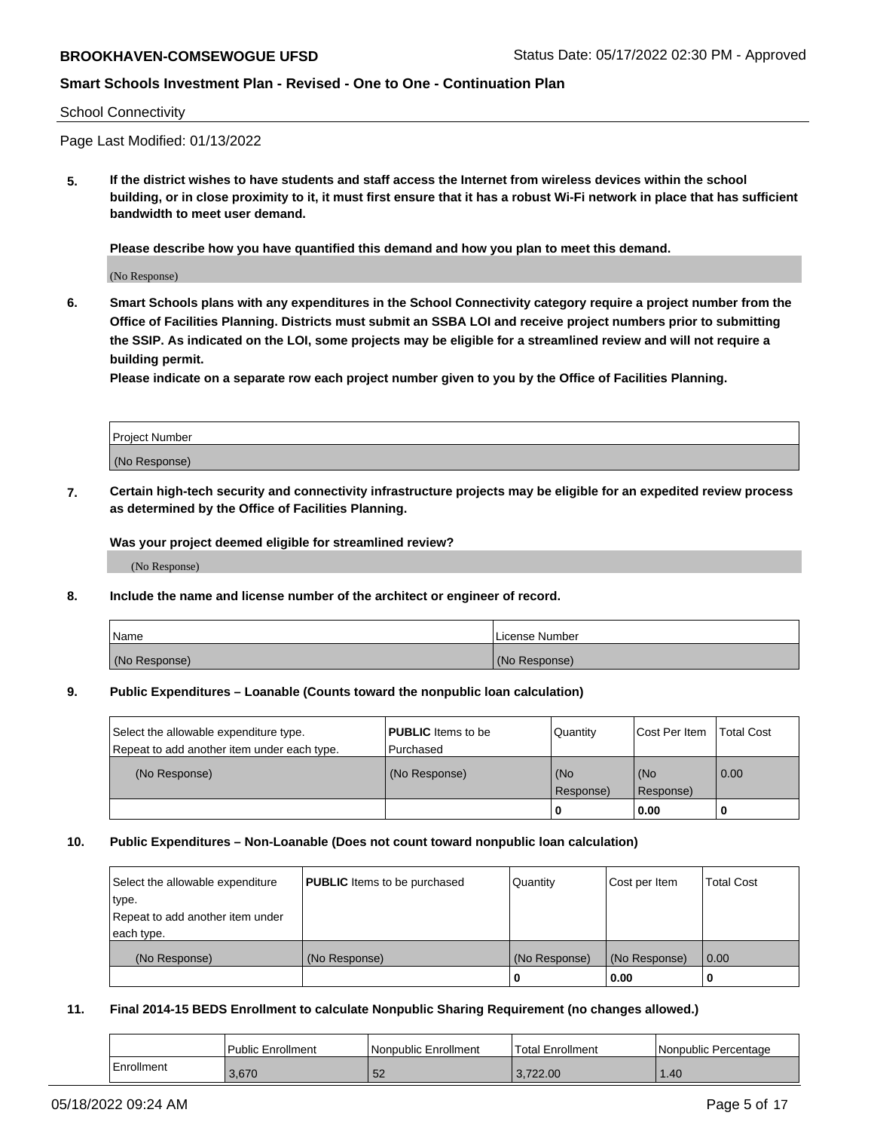#### School Connectivity

Page Last Modified: 01/13/2022

**5. If the district wishes to have students and staff access the Internet from wireless devices within the school building, or in close proximity to it, it must first ensure that it has a robust Wi-Fi network in place that has sufficient bandwidth to meet user demand.**

**Please describe how you have quantified this demand and how you plan to meet this demand.**

(No Response)

**6. Smart Schools plans with any expenditures in the School Connectivity category require a project number from the Office of Facilities Planning. Districts must submit an SSBA LOI and receive project numbers prior to submitting the SSIP. As indicated on the LOI, some projects may be eligible for a streamlined review and will not require a building permit.**

**Please indicate on a separate row each project number given to you by the Office of Facilities Planning.**

| Project Number   |  |
|------------------|--|
| (No<br>Response) |  |

**7. Certain high-tech security and connectivity infrastructure projects may be eligible for an expedited review process as determined by the Office of Facilities Planning.**

**Was your project deemed eligible for streamlined review?**

(No Response)

#### **8. Include the name and license number of the architect or engineer of record.**

| Name          | I License Number |
|---------------|------------------|
| (No Response) | (No Response)    |

#### **9. Public Expenditures – Loanable (Counts toward the nonpublic loan calculation)**

| Select the allowable expenditure type.<br>Repeat to add another item under each type. | <b>PUBLIC</b> Items to be<br>Purchased | Quantity         | Cost Per Item    | <b>Total Cost</b> |
|---------------------------------------------------------------------------------------|----------------------------------------|------------------|------------------|-------------------|
| (No Response)                                                                         | (No Response)                          | (No<br>Response) | (No<br>Response) | 0.00              |
|                                                                                       |                                        | 0                | 0.00             |                   |

## **10. Public Expenditures – Non-Loanable (Does not count toward nonpublic loan calculation)**

| Select the allowable expenditure | <b>PUBLIC</b> Items to be purchased | Quantity      | Cost per Item | <b>Total Cost</b> |
|----------------------------------|-------------------------------------|---------------|---------------|-------------------|
| type.                            |                                     |               |               |                   |
| Repeat to add another item under |                                     |               |               |                   |
| each type.                       |                                     |               |               |                   |
| (No Response)                    | (No Response)                       | (No Response) | (No Response) | 0.00              |
|                                  |                                     | U             | 0.00          |                   |

## **11. Final 2014-15 BEDS Enrollment to calculate Nonpublic Sharing Requirement (no changes allowed.)**

|            | <b>Public Enrollment</b> | Nonpublic Enrollment | <b>Total Enrollment</b> | Nonpublic Percentage |
|------------|--------------------------|----------------------|-------------------------|----------------------|
| Enrollment | 3.670                    | ວ∠                   | 3.722.00                | .40                  |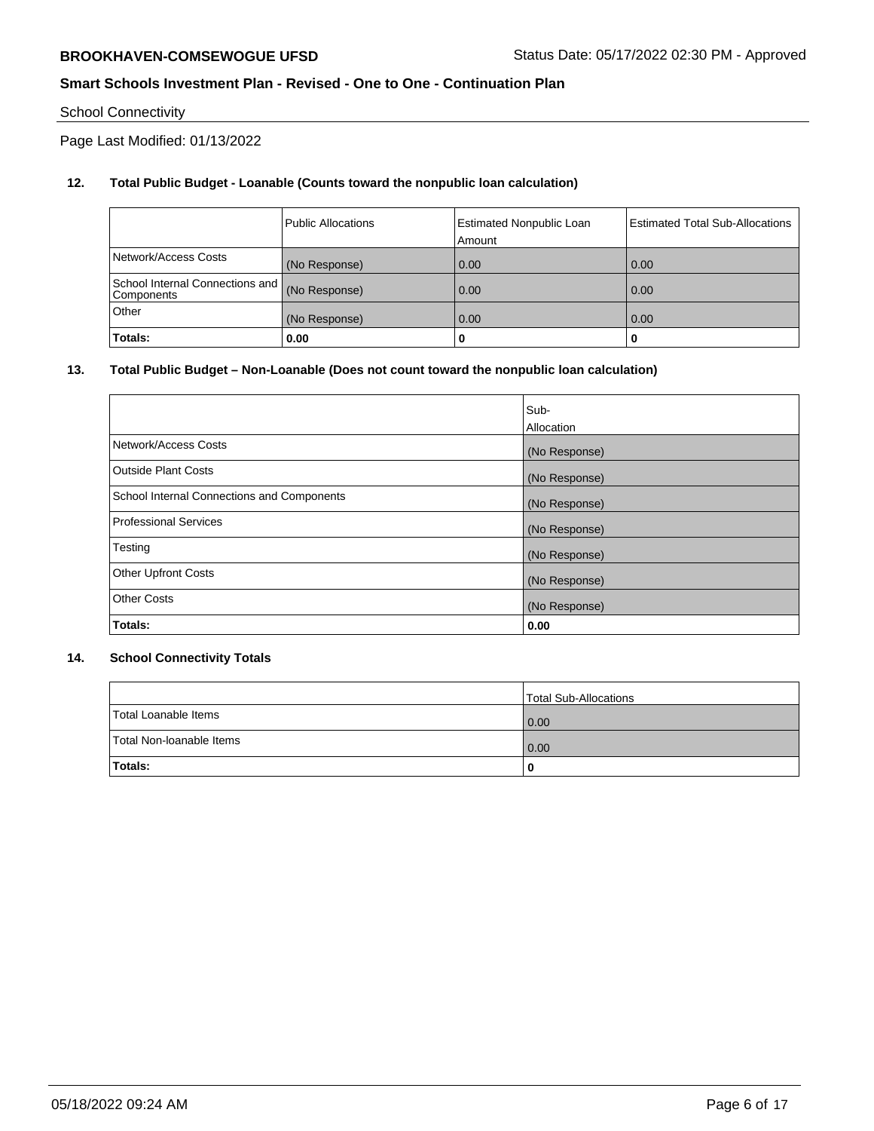# School Connectivity

Page Last Modified: 01/13/2022

# **12. Total Public Budget - Loanable (Counts toward the nonpublic loan calculation)**

|                                                 | <b>Public Allocations</b> | <b>Estimated Nonpublic Loan</b><br>Amount | <b>Estimated Total Sub-Allocations</b> |
|-------------------------------------------------|---------------------------|-------------------------------------------|----------------------------------------|
| Network/Access Costs                            | (No Response)             | 0.00                                      | 0.00                                   |
| School Internal Connections and  <br>Components | (No Response)             | 0.00                                      | 0.00                                   |
| Other                                           | (No Response)             | 0.00                                      | 0.00                                   |
| Totals:                                         | 0.00                      |                                           | 0                                      |

## **13. Total Public Budget – Non-Loanable (Does not count toward the nonpublic loan calculation)**

|                                            | Sub-          |
|--------------------------------------------|---------------|
|                                            | Allocation    |
| Network/Access Costs                       | (No Response) |
| <b>Outside Plant Costs</b>                 | (No Response) |
| School Internal Connections and Components | (No Response) |
| <b>Professional Services</b>               | (No Response) |
| Testing                                    | (No Response) |
| <b>Other Upfront Costs</b>                 | (No Response) |
| <b>Other Costs</b>                         | (No Response) |
| Totals:                                    | 0.00          |

## **14. School Connectivity Totals**

|                          | Total Sub-Allocations |
|--------------------------|-----------------------|
| Total Loanable Items     | 0.00                  |
| Total Non-Ioanable Items | 0.00                  |
| Totals:                  | 0                     |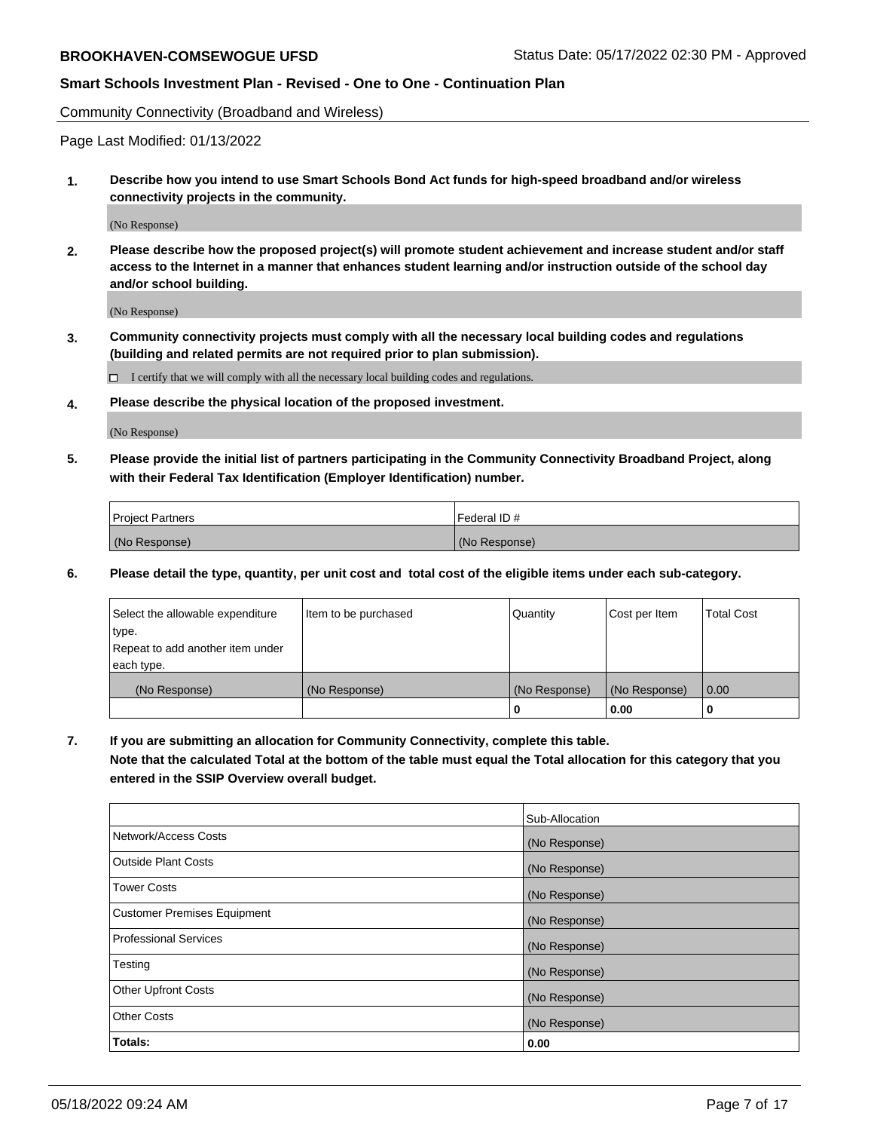Community Connectivity (Broadband and Wireless)

Page Last Modified: 01/13/2022

**1. Describe how you intend to use Smart Schools Bond Act funds for high-speed broadband and/or wireless connectivity projects in the community.**

(No Response)

**2. Please describe how the proposed project(s) will promote student achievement and increase student and/or staff access to the Internet in a manner that enhances student learning and/or instruction outside of the school day and/or school building.**

(No Response)

**3. Community connectivity projects must comply with all the necessary local building codes and regulations (building and related permits are not required prior to plan submission).**

 $\Box$  I certify that we will comply with all the necessary local building codes and regulations.

**4. Please describe the physical location of the proposed investment.**

(No Response)

**5. Please provide the initial list of partners participating in the Community Connectivity Broadband Project, along with their Federal Tax Identification (Employer Identification) number.**

| <b>Project Partners</b> | l Federal ID # |
|-------------------------|----------------|
| (No Response)           | (No Response)  |

**6. Please detail the type, quantity, per unit cost and total cost of the eligible items under each sub-category.**

| Select the allowable expenditure | Item to be purchased | Quantity      | Cost per Item | <b>Total Cost</b> |
|----------------------------------|----------------------|---------------|---------------|-------------------|
| type.                            |                      |               |               |                   |
| Repeat to add another item under |                      |               |               |                   |
| each type.                       |                      |               |               |                   |
| (No Response)                    | (No Response)        | (No Response) | (No Response) | 0.00              |
|                                  |                      | 0             | 0.00          |                   |

**7. If you are submitting an allocation for Community Connectivity, complete this table.**

**Note that the calculated Total at the bottom of the table must equal the Total allocation for this category that you entered in the SSIP Overview overall budget.**

|                                    | Sub-Allocation |
|------------------------------------|----------------|
| Network/Access Costs               | (No Response)  |
| Outside Plant Costs                | (No Response)  |
| <b>Tower Costs</b>                 | (No Response)  |
| <b>Customer Premises Equipment</b> | (No Response)  |
| Professional Services              | (No Response)  |
| Testing                            | (No Response)  |
| <b>Other Upfront Costs</b>         | (No Response)  |
| <b>Other Costs</b>                 | (No Response)  |
| Totals:                            | 0.00           |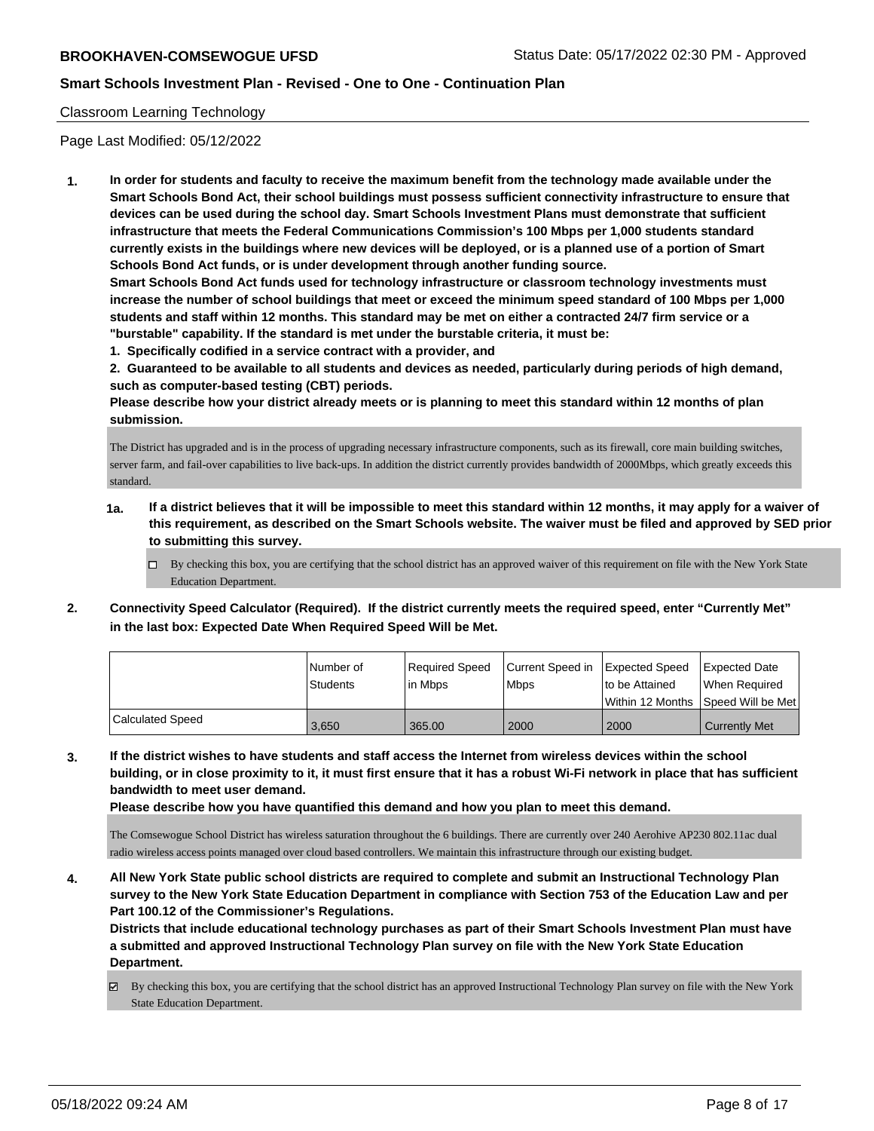## Classroom Learning Technology

Page Last Modified: 05/12/2022

**1. In order for students and faculty to receive the maximum benefit from the technology made available under the Smart Schools Bond Act, their school buildings must possess sufficient connectivity infrastructure to ensure that devices can be used during the school day. Smart Schools Investment Plans must demonstrate that sufficient infrastructure that meets the Federal Communications Commission's 100 Mbps per 1,000 students standard currently exists in the buildings where new devices will be deployed, or is a planned use of a portion of Smart Schools Bond Act funds, or is under development through another funding source.**

**Smart Schools Bond Act funds used for technology infrastructure or classroom technology investments must increase the number of school buildings that meet or exceed the minimum speed standard of 100 Mbps per 1,000 students and staff within 12 months. This standard may be met on either a contracted 24/7 firm service or a "burstable" capability. If the standard is met under the burstable criteria, it must be:**

**1. Specifically codified in a service contract with a provider, and**

**2. Guaranteed to be available to all students and devices as needed, particularly during periods of high demand, such as computer-based testing (CBT) periods.**

**Please describe how your district already meets or is planning to meet this standard within 12 months of plan submission.**

The District has upgraded and is in the process of upgrading necessary infrastructure components, such as its firewall, core main building switches, server farm, and fail-over capabilities to live back-ups. In addition the district currently provides bandwidth of 2000Mbps, which greatly exceeds this standard.

- **1a. If a district believes that it will be impossible to meet this standard within 12 months, it may apply for a waiver of this requirement, as described on the Smart Schools website. The waiver must be filed and approved by SED prior to submitting this survey.**
	- By checking this box, you are certifying that the school district has an approved waiver of this requirement on file with the New York State Education Department.
- **2. Connectivity Speed Calculator (Required). If the district currently meets the required speed, enter "Currently Met" in the last box: Expected Date When Required Speed Will be Met.**

|                  | l Number of | Required Speed | Current Speed in Expected Speed |                 | <b>Expected Date</b>                |
|------------------|-------------|----------------|---------------------------------|-----------------|-------------------------------------|
|                  | Students    | l in Mbps      | <b>Mbps</b>                     | Ito be Attained | When Required                       |
|                  |             |                |                                 |                 | Within 12 Months ISpeed Will be Met |
| Calculated Speed | 3,650       | 365.00         | 2000                            | 2000            | <b>Currently Met</b>                |

**3. If the district wishes to have students and staff access the Internet from wireless devices within the school building, or in close proximity to it, it must first ensure that it has a robust Wi-Fi network in place that has sufficient bandwidth to meet user demand.**

**Please describe how you have quantified this demand and how you plan to meet this demand.**

The Comsewogue School District has wireless saturation throughout the 6 buildings. There are currently over 240 Aerohive AP230 802.11ac dual radio wireless access points managed over cloud based controllers. We maintain this infrastructure through our existing budget.

**4. All New York State public school districts are required to complete and submit an Instructional Technology Plan survey to the New York State Education Department in compliance with Section 753 of the Education Law and per Part 100.12 of the Commissioner's Regulations.**

**Districts that include educational technology purchases as part of their Smart Schools Investment Plan must have a submitted and approved Instructional Technology Plan survey on file with the New York State Education Department.**

By checking this box, you are certifying that the school district has an approved Instructional Technology Plan survey on file with the New York State Education Department.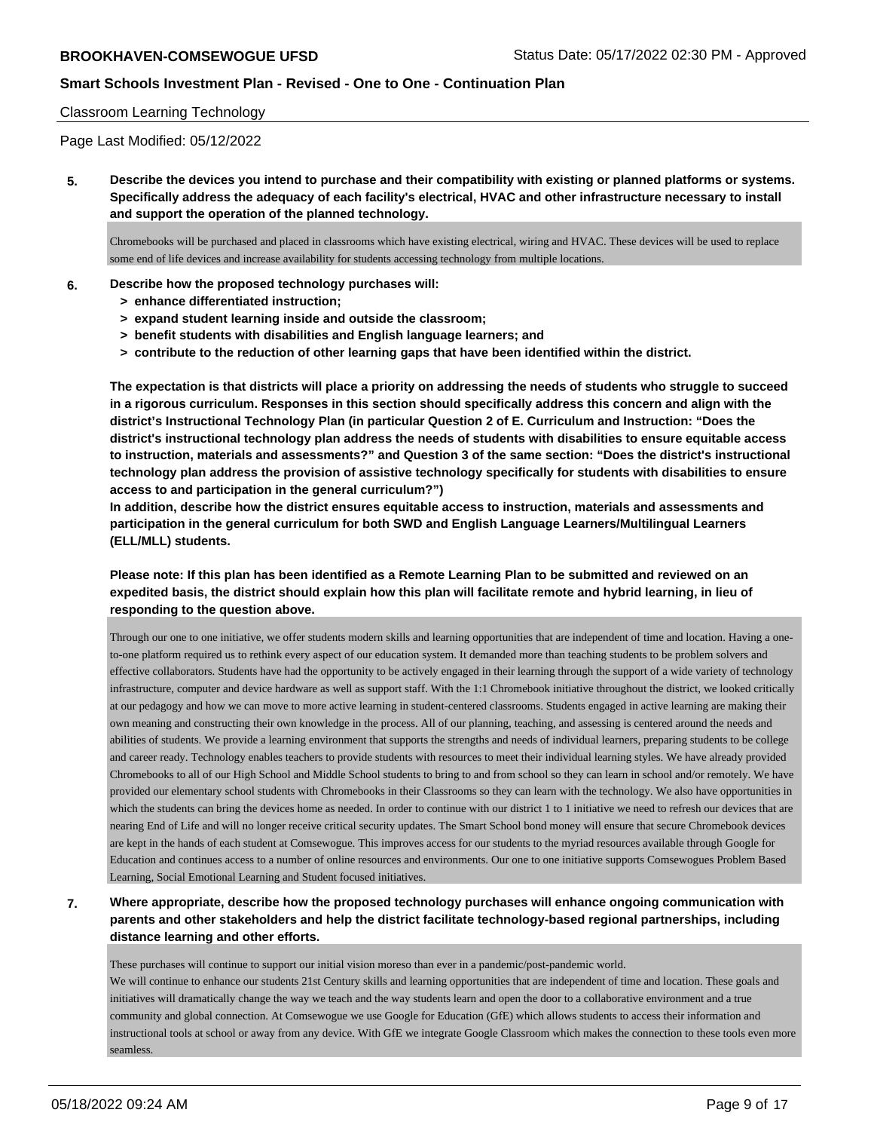## Classroom Learning Technology

Page Last Modified: 05/12/2022

**5. Describe the devices you intend to purchase and their compatibility with existing or planned platforms or systems. Specifically address the adequacy of each facility's electrical, HVAC and other infrastructure necessary to install and support the operation of the planned technology.**

Chromebooks will be purchased and placed in classrooms which have existing electrical, wiring and HVAC. These devices will be used to replace some end of life devices and increase availability for students accessing technology from multiple locations.

### **6. Describe how the proposed technology purchases will:**

- **> enhance differentiated instruction;**
- **> expand student learning inside and outside the classroom;**
- **> benefit students with disabilities and English language learners; and**
- **> contribute to the reduction of other learning gaps that have been identified within the district.**

**The expectation is that districts will place a priority on addressing the needs of students who struggle to succeed in a rigorous curriculum. Responses in this section should specifically address this concern and align with the district's Instructional Technology Plan (in particular Question 2 of E. Curriculum and Instruction: "Does the district's instructional technology plan address the needs of students with disabilities to ensure equitable access to instruction, materials and assessments?" and Question 3 of the same section: "Does the district's instructional technology plan address the provision of assistive technology specifically for students with disabilities to ensure access to and participation in the general curriculum?")**

**In addition, describe how the district ensures equitable access to instruction, materials and assessments and participation in the general curriculum for both SWD and English Language Learners/Multilingual Learners (ELL/MLL) students.**

## **Please note: If this plan has been identified as a Remote Learning Plan to be submitted and reviewed on an expedited basis, the district should explain how this plan will facilitate remote and hybrid learning, in lieu of responding to the question above.**

Through our one to one initiative, we offer students modern skills and learning opportunities that are independent of time and location. Having a oneto-one platform required us to rethink every aspect of our education system. It demanded more than teaching students to be problem solvers and effective collaborators. Students have had the opportunity to be actively engaged in their learning through the support of a wide variety of technology infrastructure, computer and device hardware as well as support staff. With the 1:1 Chromebook initiative throughout the district, we looked critically at our pedagogy and how we can move to more active learning in student-centered classrooms. Students engaged in active learning are making their own meaning and constructing their own knowledge in the process. All of our planning, teaching, and assessing is centered around the needs and abilities of students. We provide a learning environment that supports the strengths and needs of individual learners, preparing students to be college and career ready. Technology enables teachers to provide students with resources to meet their individual learning styles. We have already provided Chromebooks to all of our High School and Middle School students to bring to and from school so they can learn in school and/or remotely. We have provided our elementary school students with Chromebooks in their Classrooms so they can learn with the technology. We also have opportunities in which the students can bring the devices home as needed. In order to continue with our district 1 to 1 initiative we need to refresh our devices that are nearing End of Life and will no longer receive critical security updates. The Smart School bond money will ensure that secure Chromebook devices are kept in the hands of each student at Comsewogue. This improves access for our students to the myriad resources available through Google for Education and continues access to a number of online resources and environments. Our one to one initiative supports Comsewogues Problem Based Learning, Social Emotional Learning and Student focused initiatives.

# **7. Where appropriate, describe how the proposed technology purchases will enhance ongoing communication with parents and other stakeholders and help the district facilitate technology-based regional partnerships, including distance learning and other efforts.**

These purchases will continue to support our initial vision moreso than ever in a pandemic/post-pandemic world. We will continue to enhance our students 21st Century skills and learning opportunities that are independent of time and location. These goals and initiatives will dramatically change the way we teach and the way students learn and open the door to a collaborative environment and a true community and global connection. At Comsewogue we use Google for Education (GfE) which allows students to access their information and instructional tools at school or away from any device. With GfE we integrate Google Classroom which makes the connection to these tools even more seamless.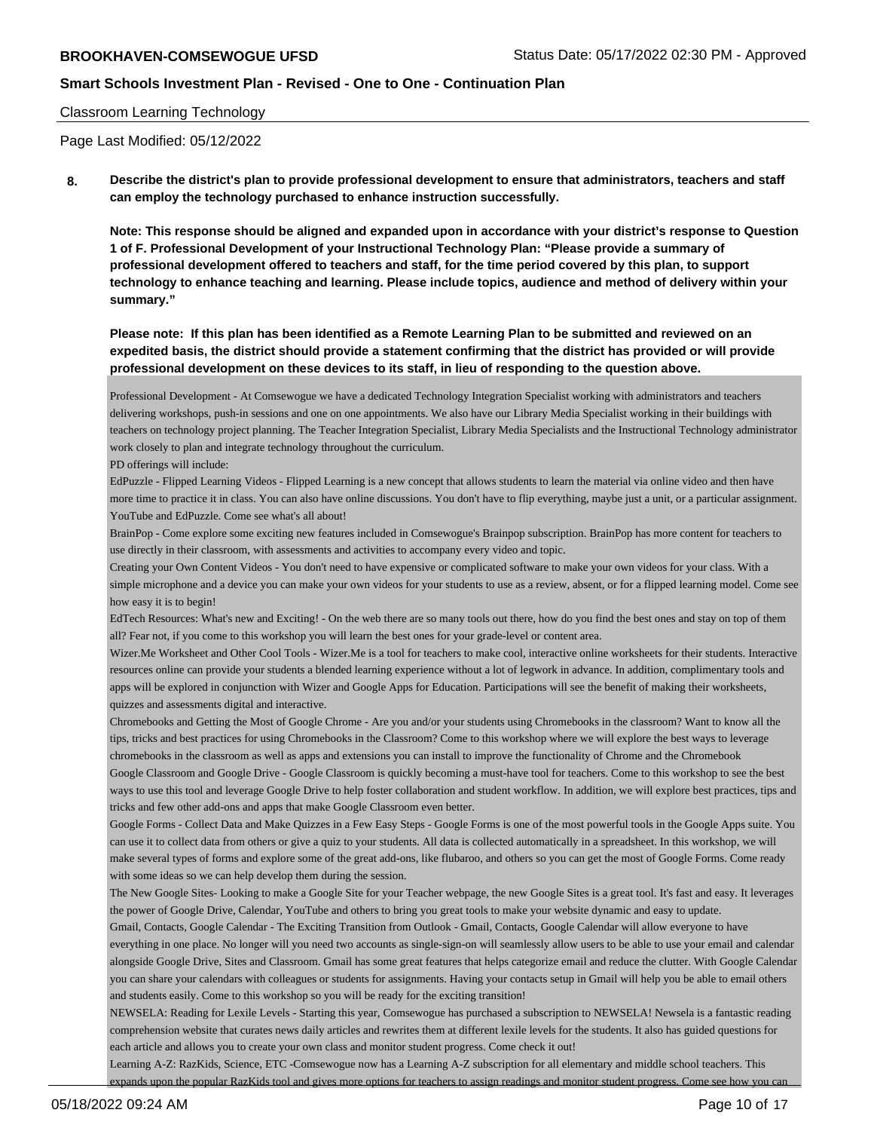## Classroom Learning Technology

Page Last Modified: 05/12/2022

**8. Describe the district's plan to provide professional development to ensure that administrators, teachers and staff can employ the technology purchased to enhance instruction successfully.**

**Note: This response should be aligned and expanded upon in accordance with your district's response to Question 1 of F. Professional Development of your Instructional Technology Plan: "Please provide a summary of professional development offered to teachers and staff, for the time period covered by this plan, to support technology to enhance teaching and learning. Please include topics, audience and method of delivery within your summary."**

**Please note: If this plan has been identified as a Remote Learning Plan to be submitted and reviewed on an expedited basis, the district should provide a statement confirming that the district has provided or will provide professional development on these devices to its staff, in lieu of responding to the question above.**

Professional Development - At Comsewogue we have a dedicated Technology Integration Specialist working with administrators and teachers delivering workshops, push-in sessions and one on one appointments. We also have our Library Media Specialist working in their buildings with teachers on technology project planning. The Teacher Integration Specialist, Library Media Specialists and the Instructional Technology administrator work closely to plan and integrate technology throughout the curriculum.

PD offerings will include:

EdPuzzle - Flipped Learning Videos - Flipped Learning is a new concept that allows students to learn the material via online video and then have more time to practice it in class. You can also have online discussions. You don't have to flip everything, maybe just a unit, or a particular assignment. YouTube and EdPuzzle. Come see what's all about!

BrainPop - Come explore some exciting new features included in Comsewogue's Brainpop subscription. BrainPop has more content for teachers to use directly in their classroom, with assessments and activities to accompany every video and topic.

Creating your Own Content Videos - You don't need to have expensive or complicated software to make your own videos for your class. With a simple microphone and a device you can make your own videos for your students to use as a review, absent, or for a flipped learning model. Come see how easy it is to begin!

EdTech Resources: What's new and Exciting! - On the web there are so many tools out there, how do you find the best ones and stay on top of them all? Fear not, if you come to this workshop you will learn the best ones for your grade-level or content area.

Wizer.Me Worksheet and Other Cool Tools - Wizer.Me is a tool for teachers to make cool, interactive online worksheets for their students. Interactive resources online can provide your students a blended learning experience without a lot of legwork in advance. In addition, complimentary tools and apps will be explored in conjunction with Wizer and Google Apps for Education. Participations will see the benefit of making their worksheets, quizzes and assessments digital and interactive.

Chromebooks and Getting the Most of Google Chrome - Are you and/or your students using Chromebooks in the classroom? Want to know all the tips, tricks and best practices for using Chromebooks in the Classroom? Come to this workshop where we will explore the best ways to leverage chromebooks in the classroom as well as apps and extensions you can install to improve the functionality of Chrome and the Chromebook Google Classroom and Google Drive - Google Classroom is quickly becoming a must-have tool for teachers. Come to this workshop to see the best ways to use this tool and leverage Google Drive to help foster collaboration and student workflow. In addition, we will explore best practices, tips and tricks and few other add-ons and apps that make Google Classroom even better.

Google Forms - Collect Data and Make Quizzes in a Few Easy Steps - Google Forms is one of the most powerful tools in the Google Apps suite. You can use it to collect data from others or give a quiz to your students. All data is collected automatically in a spreadsheet. In this workshop, we will make several types of forms and explore some of the great add-ons, like flubaroo, and others so you can get the most of Google Forms. Come ready with some ideas so we can help develop them during the session.

The New Google Sites- Looking to make a Google Site for your Teacher webpage, the new Google Sites is a great tool. It's fast and easy. It leverages the power of Google Drive, Calendar, YouTube and others to bring you great tools to make your website dynamic and easy to update.

Gmail, Contacts, Google Calendar - The Exciting Transition from Outlook - Gmail, Contacts, Google Calendar will allow everyone to have everything in one place. No longer will you need two accounts as single-sign-on will seamlessly allow users to be able to use your email and calendar alongside Google Drive, Sites and Classroom. Gmail has some great features that helps categorize email and reduce the clutter. With Google Calendar you can share your calendars with colleagues or students for assignments. Having your contacts setup in Gmail will help you be able to email others and students easily. Come to this workshop so you will be ready for the exciting transition!

NEWSELA: Reading for Lexile Levels - Starting this year, Comsewogue has purchased a subscription to NEWSELA! Newsela is a fantastic reading comprehension website that curates news daily articles and rewrites them at different lexile levels for the students. It also has guided questions for each article and allows you to create your own class and monitor student progress. Come check it out!

Learning A-Z: RazKids, Science, ETC -Comsewogue now has a Learning A-Z subscription for all elementary and middle school teachers. This expands upon the popular RazKids tool and gives more options for teachers to assign readings and monitor student progress. Come see how you can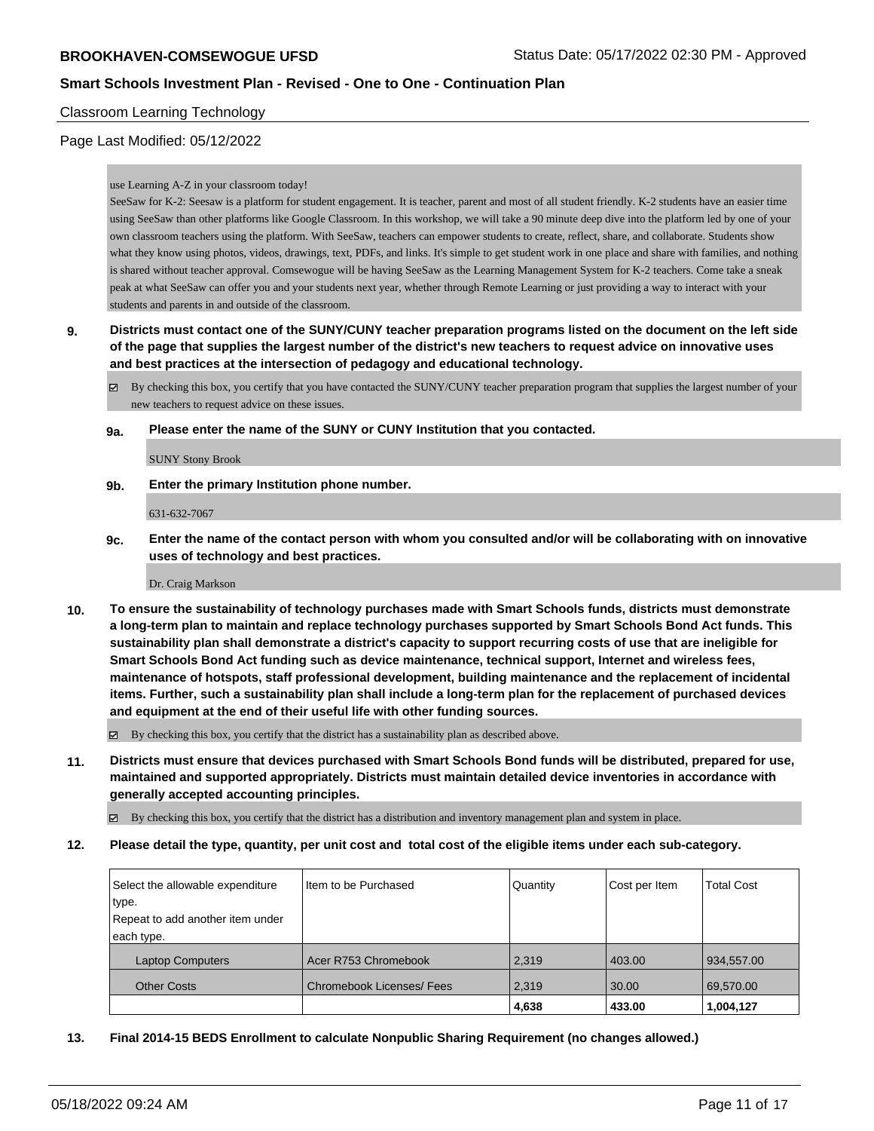## Classroom Learning Technology

## Page Last Modified: 05/12/2022

#### use Learning A-Z in your classroom today!

SeeSaw for K-2: Seesaw is a platform for student engagement. It is teacher, parent and most of all student friendly. K-2 students have an easier time using SeeSaw than other platforms like Google Classroom. In this workshop, we will take a 90 minute deep dive into the platform led by one of your own classroom teachers using the platform. With SeeSaw, teachers can empower students to create, reflect, share, and collaborate. Students show what they know using photos, videos, drawings, text, PDFs, and links. It's simple to get student work in one place and share with families, and nothing is shared without teacher approval. Comsewogue will be having SeeSaw as the Learning Management System for K-2 teachers. Come take a sneak peak at what SeeSaw can offer you and your students next year, whether through Remote Learning or just providing a way to interact with your students and parents in and outside of the classroom.

- **9. Districts must contact one of the SUNY/CUNY teacher preparation programs listed on the document on the left side of the page that supplies the largest number of the district's new teachers to request advice on innovative uses and best practices at the intersection of pedagogy and educational technology.**
	- $\boxtimes$  By checking this box, you certify that you have contacted the SUNY/CUNY teacher preparation program that supplies the largest number of your new teachers to request advice on these issues.
	- **9a. Please enter the name of the SUNY or CUNY Institution that you contacted.**

SUNY Stony Brook

**9b. Enter the primary Institution phone number.**

631-632-7067

**9c. Enter the name of the contact person with whom you consulted and/or will be collaborating with on innovative uses of technology and best practices.**

Dr. Craig Markson

**10. To ensure the sustainability of technology purchases made with Smart Schools funds, districts must demonstrate a long-term plan to maintain and replace technology purchases supported by Smart Schools Bond Act funds. This sustainability plan shall demonstrate a district's capacity to support recurring costs of use that are ineligible for Smart Schools Bond Act funding such as device maintenance, technical support, Internet and wireless fees, maintenance of hotspots, staff professional development, building maintenance and the replacement of incidental items. Further, such a sustainability plan shall include a long-term plan for the replacement of purchased devices and equipment at the end of their useful life with other funding sources.**

 $\boxtimes$  By checking this box, you certify that the district has a sustainability plan as described above.

**11. Districts must ensure that devices purchased with Smart Schools Bond funds will be distributed, prepared for use, maintained and supported appropriately. Districts must maintain detailed device inventories in accordance with generally accepted accounting principles.**

By checking this box, you certify that the district has a distribution and inventory management plan and system in place.

**12. Please detail the type, quantity, per unit cost and total cost of the eligible items under each sub-category.**

| Select the allowable expenditure | Item to be Purchased             | Quantity | Cost per Item | <b>Total Cost</b> |
|----------------------------------|----------------------------------|----------|---------------|-------------------|
| type.                            |                                  |          |               |                   |
| Repeat to add another item under |                                  |          |               |                   |
| each type.                       |                                  |          |               |                   |
| <b>Laptop Computers</b>          | Acer R753 Chromebook             | 2.319    | 403.00        | 934,557.00        |
| <b>Other Costs</b>               | <b>Chromebook Licenses/ Fees</b> | 2,319    | 30.00         | 69,570.00         |
|                                  |                                  | 4,638    | 433.00        | 1,004,127         |

**13. Final 2014-15 BEDS Enrollment to calculate Nonpublic Sharing Requirement (no changes allowed.)**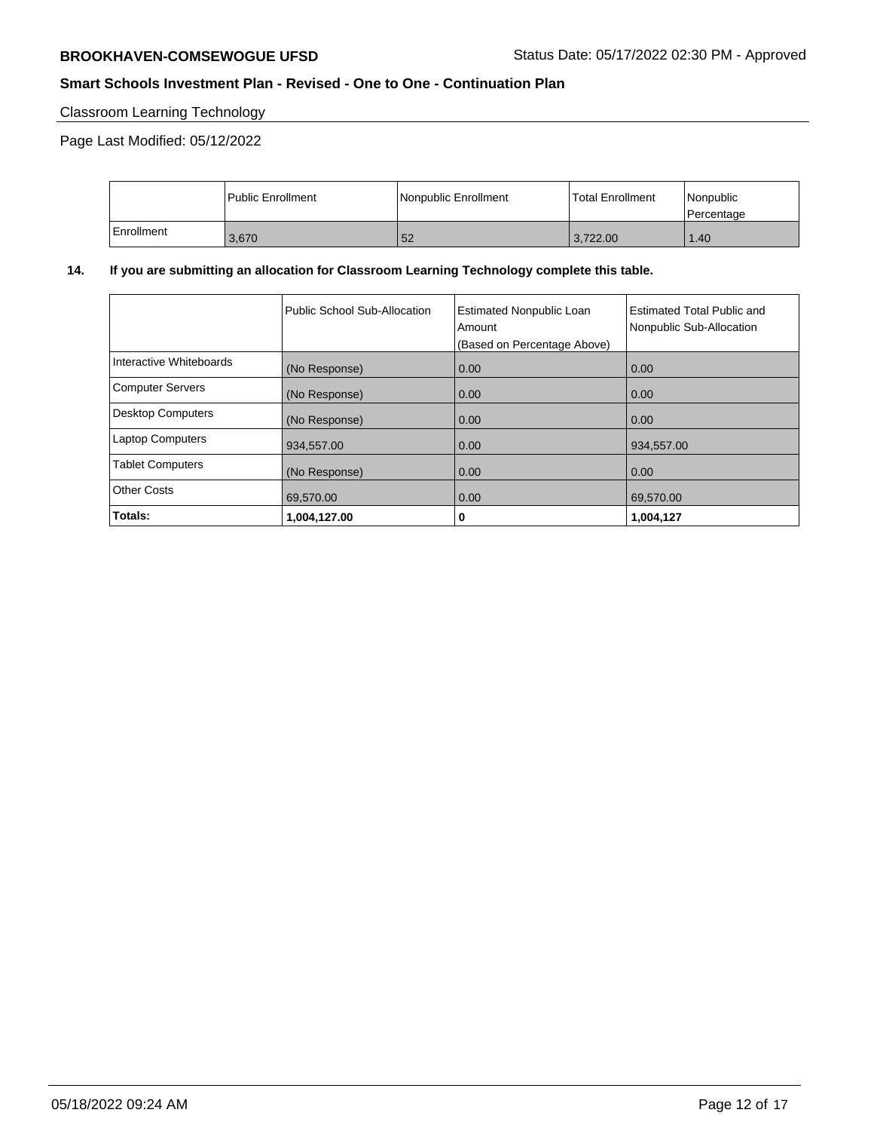# Classroom Learning Technology

Page Last Modified: 05/12/2022

|            | <b>Public Enrollment</b> | Nonpublic Enrollment | <b>Total Enrollment</b> | l Nonpublic<br>Percentage |
|------------|--------------------------|----------------------|-------------------------|---------------------------|
| Enrollment | 3.670                    | 52                   | 3.722.00                | 1.40                      |

# **14. If you are submitting an allocation for Classroom Learning Technology complete this table.**

|                          | Public School Sub-Allocation | <b>Estimated Nonpublic Loan</b><br>Amount<br>(Based on Percentage Above) | <b>Estimated Total Public and</b><br>Nonpublic Sub-Allocation |
|--------------------------|------------------------------|--------------------------------------------------------------------------|---------------------------------------------------------------|
| Interactive Whiteboards  | (No Response)                | 0.00                                                                     | 0.00                                                          |
| <b>Computer Servers</b>  | (No Response)                | 0.00                                                                     | 0.00                                                          |
| <b>Desktop Computers</b> | (No Response)                | 0.00                                                                     | 0.00                                                          |
| <b>Laptop Computers</b>  | 934,557.00                   | 0.00                                                                     | 934,557.00                                                    |
| <b>Tablet Computers</b>  | (No Response)                | 0.00                                                                     | 0.00                                                          |
| <b>Other Costs</b>       | 69,570.00                    | 0.00                                                                     | 69.570.00                                                     |
| Totals:                  | 1,004,127.00                 | 0                                                                        | 1,004,127                                                     |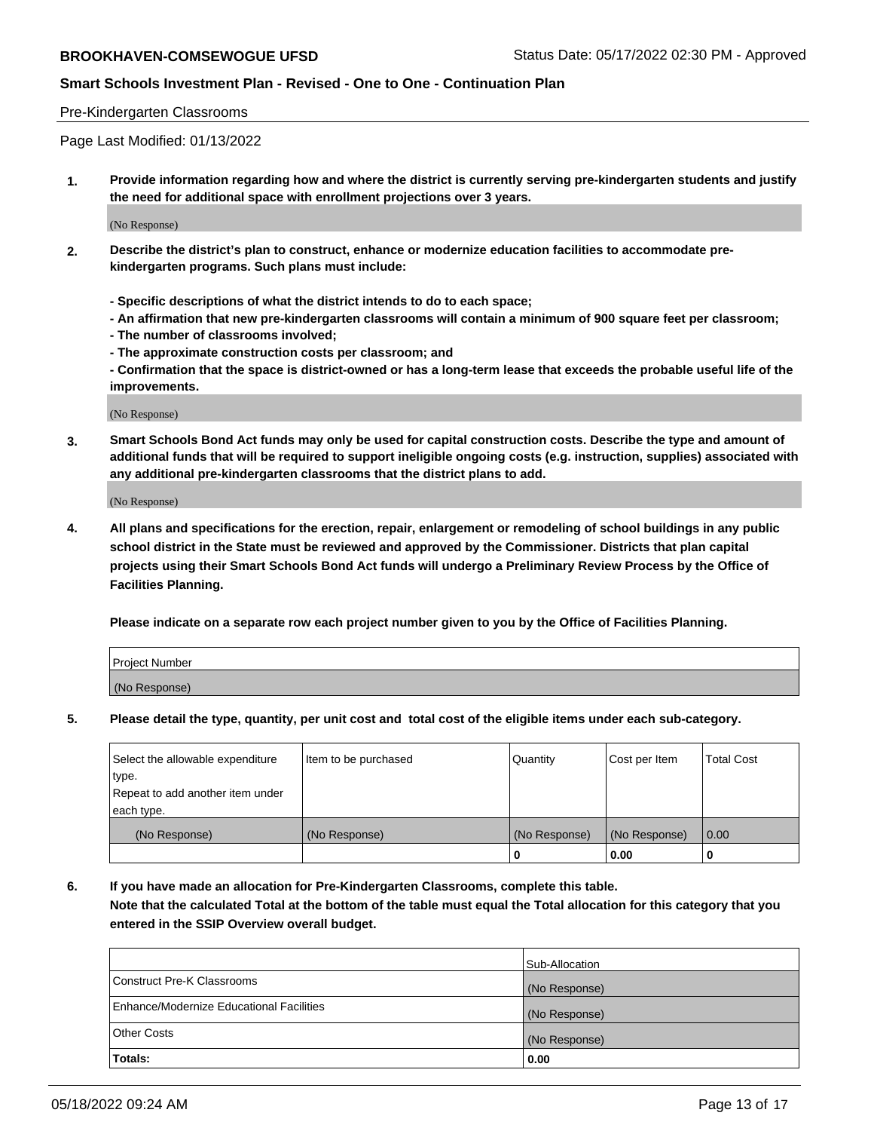#### Pre-Kindergarten Classrooms

Page Last Modified: 01/13/2022

**1. Provide information regarding how and where the district is currently serving pre-kindergarten students and justify the need for additional space with enrollment projections over 3 years.**

(No Response)

- **2. Describe the district's plan to construct, enhance or modernize education facilities to accommodate prekindergarten programs. Such plans must include:**
	- **Specific descriptions of what the district intends to do to each space;**
	- **An affirmation that new pre-kindergarten classrooms will contain a minimum of 900 square feet per classroom;**
	- **The number of classrooms involved;**
	- **The approximate construction costs per classroom; and**
	- **Confirmation that the space is district-owned or has a long-term lease that exceeds the probable useful life of the improvements.**

(No Response)

**3. Smart Schools Bond Act funds may only be used for capital construction costs. Describe the type and amount of additional funds that will be required to support ineligible ongoing costs (e.g. instruction, supplies) associated with any additional pre-kindergarten classrooms that the district plans to add.**

(No Response)

**4. All plans and specifications for the erection, repair, enlargement or remodeling of school buildings in any public school district in the State must be reviewed and approved by the Commissioner. Districts that plan capital projects using their Smart Schools Bond Act funds will undergo a Preliminary Review Process by the Office of Facilities Planning.**

**Please indicate on a separate row each project number given to you by the Office of Facilities Planning.**

| Project Number |  |
|----------------|--|
| (No Response)  |  |

**5. Please detail the type, quantity, per unit cost and total cost of the eligible items under each sub-category.**

| Select the allowable expenditure | Item to be purchased | Quantity      | Cost per Item | <b>Total Cost</b> |
|----------------------------------|----------------------|---------------|---------------|-------------------|
| type.                            |                      |               |               |                   |
| Repeat to add another item under |                      |               |               |                   |
| each type.                       |                      |               |               |                   |
| (No Response)                    | (No Response)        | (No Response) | (No Response) | 0.00              |
|                                  |                      | 0             | 0.00          |                   |

**6. If you have made an allocation for Pre-Kindergarten Classrooms, complete this table.**

**Note that the calculated Total at the bottom of the table must equal the Total allocation for this category that you entered in the SSIP Overview overall budget.**

|                                          | Sub-Allocation |
|------------------------------------------|----------------|
| Construct Pre-K Classrooms               | (No Response)  |
| Enhance/Modernize Educational Facilities | (No Response)  |
| <b>Other Costs</b>                       | (No Response)  |
| Totals:                                  | 0.00           |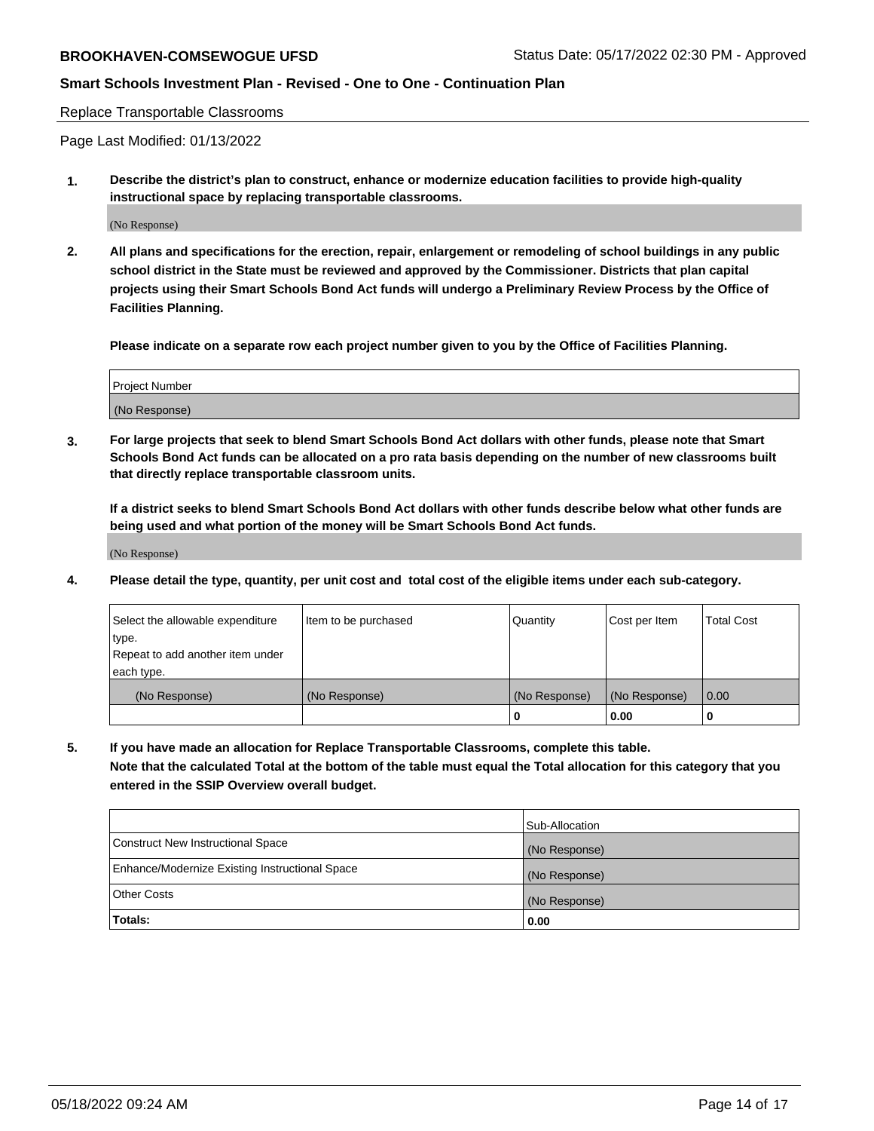Replace Transportable Classrooms

Page Last Modified: 01/13/2022

**1. Describe the district's plan to construct, enhance or modernize education facilities to provide high-quality instructional space by replacing transportable classrooms.**

(No Response)

**2. All plans and specifications for the erection, repair, enlargement or remodeling of school buildings in any public school district in the State must be reviewed and approved by the Commissioner. Districts that plan capital projects using their Smart Schools Bond Act funds will undergo a Preliminary Review Process by the Office of Facilities Planning.**

**Please indicate on a separate row each project number given to you by the Office of Facilities Planning.**

| <b>Project Number</b> |  |
|-----------------------|--|
| (No Response)         |  |

**3. For large projects that seek to blend Smart Schools Bond Act dollars with other funds, please note that Smart Schools Bond Act funds can be allocated on a pro rata basis depending on the number of new classrooms built that directly replace transportable classroom units.**

**If a district seeks to blend Smart Schools Bond Act dollars with other funds describe below what other funds are being used and what portion of the money will be Smart Schools Bond Act funds.**

(No Response)

**4. Please detail the type, quantity, per unit cost and total cost of the eligible items under each sub-category.**

| Select the allowable expenditure | Item to be purchased | Quantity      | Cost per Item | <b>Total Cost</b> |
|----------------------------------|----------------------|---------------|---------------|-------------------|
| type.                            |                      |               |               |                   |
| Repeat to add another item under |                      |               |               |                   |
| each type.                       |                      |               |               |                   |
| (No Response)                    | (No Response)        | (No Response) | (No Response) | 0.00              |
|                                  |                      | U             | 0.00          |                   |

**5. If you have made an allocation for Replace Transportable Classrooms, complete this table.**

**Note that the calculated Total at the bottom of the table must equal the Total allocation for this category that you entered in the SSIP Overview overall budget.**

|                                                | Sub-Allocation |
|------------------------------------------------|----------------|
| Construct New Instructional Space              | (No Response)  |
| Enhance/Modernize Existing Instructional Space | (No Response)  |
| <b>Other Costs</b>                             | (No Response)  |
| Totals:                                        | 0.00           |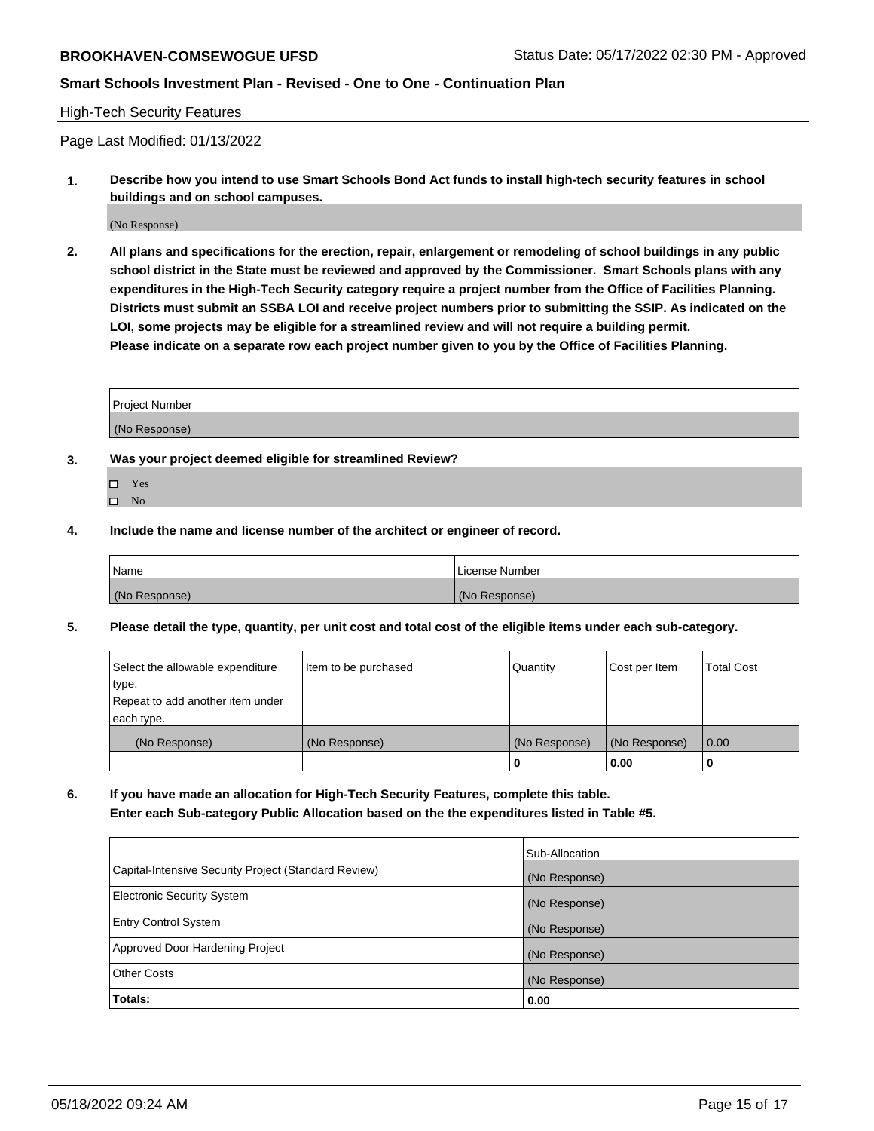#### High-Tech Security Features

Page Last Modified: 01/13/2022

**1. Describe how you intend to use Smart Schools Bond Act funds to install high-tech security features in school buildings and on school campuses.**

(No Response)

**2. All plans and specifications for the erection, repair, enlargement or remodeling of school buildings in any public school district in the State must be reviewed and approved by the Commissioner. Smart Schools plans with any expenditures in the High-Tech Security category require a project number from the Office of Facilities Planning. Districts must submit an SSBA LOI and receive project numbers prior to submitting the SSIP. As indicated on the LOI, some projects may be eligible for a streamlined review and will not require a building permit. Please indicate on a separate row each project number given to you by the Office of Facilities Planning.**

| Project Number |  |
|----------------|--|
| (No Response)  |  |

- **3. Was your project deemed eligible for streamlined Review?**
	- Yes
	- $\square$  No
- **4. Include the name and license number of the architect or engineer of record.**

| Name          | License Number |
|---------------|----------------|
| (No Response) | (No Response)  |

**5. Please detail the type, quantity, per unit cost and total cost of the eligible items under each sub-category.**

| Select the allowable expenditure<br>type.<br>Repeat to add another item under | Item to be purchased | Quantity      | Cost per Item | <b>Total Cost</b> |
|-------------------------------------------------------------------------------|----------------------|---------------|---------------|-------------------|
| each type.                                                                    |                      |               |               |                   |
| (No Response)                                                                 | (No Response)        | (No Response) | (No Response) | 0.00              |
|                                                                               |                      | 0             | 0.00          | -0                |

**6. If you have made an allocation for High-Tech Security Features, complete this table. Enter each Sub-category Public Allocation based on the the expenditures listed in Table #5.**

|                                                      | Sub-Allocation |
|------------------------------------------------------|----------------|
| Capital-Intensive Security Project (Standard Review) | (No Response)  |
| Electronic Security System                           | (No Response)  |
| <b>Entry Control System</b>                          | (No Response)  |
| Approved Door Hardening Project                      | (No Response)  |
| <b>Other Costs</b>                                   | (No Response)  |
| Totals:                                              | 0.00           |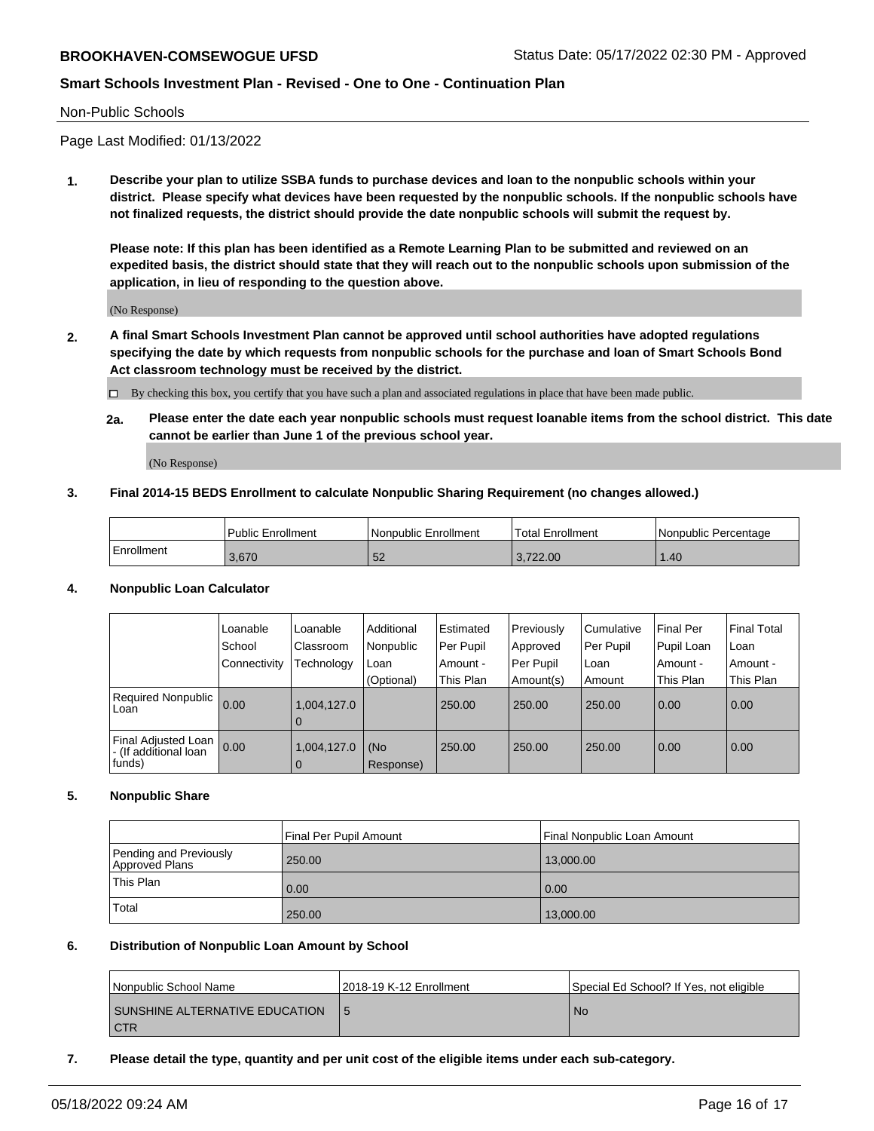#### Non-Public Schools

Page Last Modified: 01/13/2022

**1. Describe your plan to utilize SSBA funds to purchase devices and loan to the nonpublic schools within your district. Please specify what devices have been requested by the nonpublic schools. If the nonpublic schools have not finalized requests, the district should provide the date nonpublic schools will submit the request by.**

**Please note: If this plan has been identified as a Remote Learning Plan to be submitted and reviewed on an expedited basis, the district should state that they will reach out to the nonpublic schools upon submission of the application, in lieu of responding to the question above.**

(No Response)

- **2. A final Smart Schools Investment Plan cannot be approved until school authorities have adopted regulations specifying the date by which requests from nonpublic schools for the purchase and loan of Smart Schools Bond Act classroom technology must be received by the district.**
	- By checking this box, you certify that you have such a plan and associated regulations in place that have been made public.
	- **2a. Please enter the date each year nonpublic schools must request loanable items from the school district. This date cannot be earlier than June 1 of the previous school year.**

(No Response)

## **3. Final 2014-15 BEDS Enrollment to calculate Nonpublic Sharing Requirement (no changes allowed.)**

| <b>Public Enrollment</b> |       | l Nonpublic Enrollment | <b>Total Enrollment</b> | l Nonpublic Percentage |  |
|--------------------------|-------|------------------------|-------------------------|------------------------|--|
| Enrollment               | 3.670 | ◡∠                     | .722.00                 | .40 <sub>1</sub>       |  |

## **4. Nonpublic Loan Calculator**

|                                                        | Loanable<br>School<br>Connectivity | Loanable<br>Classroom<br>Technology | Additional<br>Nonpublic<br>Loan<br>(Optional) | Estimated<br>Per Pupil<br>Amount -<br>This Plan | Previously<br>Approved<br>Per Pupil<br>Amount(s) | l Cumulative<br>Per Pupil<br>l Loan<br>Amount | Final Per<br>Pupil Loan<br>Amount -<br>This Plan | <b>Final Total</b><br>Loan<br>Amount -<br>This Plan |
|--------------------------------------------------------|------------------------------------|-------------------------------------|-----------------------------------------------|-------------------------------------------------|--------------------------------------------------|-----------------------------------------------|--------------------------------------------------|-----------------------------------------------------|
| <b>Required Nonpublic</b><br>Loan                      | 0.00                               | 1,004,127.0<br>0                    |                                               | 250.00                                          | 250.00                                           | 250.00                                        | 0.00                                             | 0.00                                                |
| Final Adjusted Loan<br>- (If additional loan<br>funds) | 0.00                               | 1,004,127.0<br>$\Omega$             | (No<br>Response)                              | 250.00                                          | 250.00                                           | 250.00                                        | 0.00                                             | 0.00                                                |

## **5. Nonpublic Share**

|                                          | Final Per Pupil Amount | Final Nonpublic Loan Amount |
|------------------------------------------|------------------------|-----------------------------|
| Pending and Previously<br>Approved Plans | 250.00                 | 13,000.00                   |
| This Plan                                | 0.00                   | 0.00                        |
| Total                                    | 250.00                 | 13,000.00                   |

#### **6. Distribution of Nonpublic Loan Amount by School**

| Nonpublic School Name                        | 12018-19 K-12 Enrollment | Special Ed School? If Yes, not eligible |
|----------------------------------------------|--------------------------|-----------------------------------------|
| SUNSHINE ALTERNATIVE EDUCATION<br><b>CTR</b> |                          | No.                                     |

### **7. Please detail the type, quantity and per unit cost of the eligible items under each sub-category.**